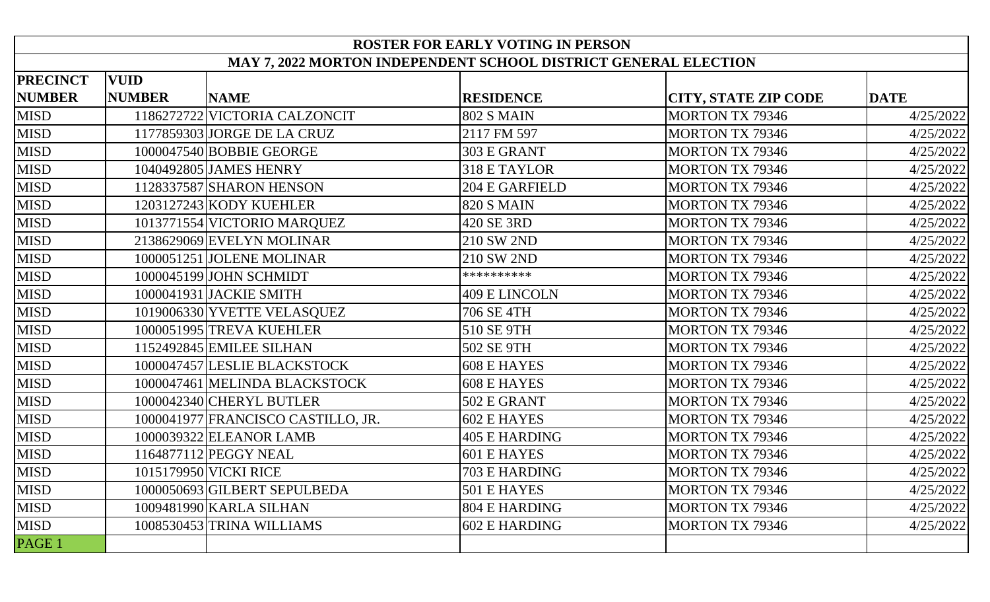| <b>ROSTER FOR EARLY VOTING IN PERSON</b>                        |               |                                    |                       |                             |             |  |
|-----------------------------------------------------------------|---------------|------------------------------------|-----------------------|-----------------------------|-------------|--|
| MAY 7, 2022 MORTON INDEPENDENT SCHOOL DISTRICT GENERAL ELECTION |               |                                    |                       |                             |             |  |
| <b>PRECINCT</b>                                                 | <b>VUID</b>   |                                    |                       |                             |             |  |
| <b>NUMBER</b>                                                   | <b>NUMBER</b> | <b>NAME</b>                        | <b>RESIDENCE</b>      | <b>CITY, STATE ZIP CODE</b> | <b>DATE</b> |  |
| <b>MISD</b>                                                     |               | 1186272722 VICTORIA CALZONCIT      | <b>802 S MAIN</b>     | <b>MORTON TX 79346</b>      | 4/25/2022   |  |
| <b>MISD</b>                                                     |               | 1177859303 JORGE DE LA CRUZ        | 2117 FM 597           | <b>MORTON TX 79346</b>      | 4/25/2022   |  |
| <b>MISD</b>                                                     |               | 1000047540 BOBBIE GEORGE           | 303 E GRANT           | <b>MORTON TX 79346</b>      | 4/25/2022   |  |
| <b>MISD</b>                                                     |               | 1040492805 JAMES HENRY             | <b>318 E TAYLOR</b>   | <b>MORTON TX 79346</b>      | 4/25/2022   |  |
| <b>MISD</b>                                                     |               | 1128337587 SHARON HENSON           | <b>204 E GARFIELD</b> | <b>MORTON TX 79346</b>      | 4/25/2022   |  |
| <b>MISD</b>                                                     |               | 1203127243 KODY KUEHLER            | <b>820 S MAIN</b>     | <b>MORTON TX 79346</b>      | 4/25/2022   |  |
| <b>MISD</b>                                                     |               | 1013771554 VICTORIO MARQUEZ        | 420 SE 3RD            | <b>MORTON TX 79346</b>      | 4/25/2022   |  |
| <b>MISD</b>                                                     |               | 2138629069 EVELYN MOLINAR          | 210 SW 2ND            | <b>MORTON TX 79346</b>      | 4/25/2022   |  |
| <b>MISD</b>                                                     |               | 1000051251 JOLENE MOLINAR          | 210 SW 2ND            | <b>MORTON TX 79346</b>      | 4/25/2022   |  |
| <b>MISD</b>                                                     |               | 1000045199 JOHN SCHMIDT            | **********            | <b>MORTON TX 79346</b>      | 4/25/2022   |  |
| <b>MISD</b>                                                     |               | 1000041931 JACKIE SMITH            | 409 E LINCOLN         | <b>MORTON TX 79346</b>      | 4/25/2022   |  |
| <b>MISD</b>                                                     |               | 1019006330 YVETTE VELASQUEZ        | 706 SE 4TH            | <b>MORTON TX 79346</b>      | 4/25/2022   |  |
| <b>MISD</b>                                                     |               | 1000051995 TREVA KUEHLER           | 510 SE 9TH            | <b>MORTON TX 79346</b>      | 4/25/2022   |  |
| <b>MISD</b>                                                     |               | 1152492845 EMILEE SILHAN           | 502 SE 9TH            | <b>MORTON TX 79346</b>      | 4/25/2022   |  |
| <b>MISD</b>                                                     |               | 1000047457 LESLIE BLACKSTOCK       | <b>608 E HAYES</b>    | <b>MORTON TX 79346</b>      | 4/25/2022   |  |
| <b>MISD</b>                                                     |               | 1000047461 MELINDA BLACKSTOCK      | 608 E HAYES           | <b>MORTON TX 79346</b>      | 4/25/2022   |  |
| <b>MISD</b>                                                     |               | 1000042340 CHERYL BUTLER           | 502 E GRANT           | <b>MORTON TX 79346</b>      | 4/25/2022   |  |
| <b>MISD</b>                                                     |               | 1000041977 FRANCISCO CASTILLO, JR. | 602 E HAYES           | <b>MORTON TX 79346</b>      | 4/25/2022   |  |
| <b>MISD</b>                                                     |               | 1000039322 ELEANOR LAMB            | <b>405 E HARDING</b>  | <b>MORTON TX 79346</b>      | 4/25/2022   |  |
| <b>MISD</b>                                                     |               | 1164877112 PEGGY NEAL              | 601 E HAYES           | <b>MORTON TX 79346</b>      | 4/25/2022   |  |
| <b>MISD</b>                                                     |               | 1015179950 VICKI RICE              | 703 E HARDING         | <b>MORTON TX 79346</b>      | 4/25/2022   |  |
| <b>MISD</b>                                                     |               | 1000050693 GILBERT SEPULBEDA       | 501 E HAYES           | <b>MORTON TX 79346</b>      | 4/25/2022   |  |
| <b>MISD</b>                                                     |               | 1009481990 KARLA SILHAN            | 804 E HARDING         | <b>MORTON TX 79346</b>      | 4/25/2022   |  |
| <b>MISD</b>                                                     |               | 1008530453 TRINA WILLIAMS          | 602 E HARDING         | <b>MORTON TX 79346</b>      | 4/25/2022   |  |
| PAGE 1                                                          |               |                                    |                       |                             |             |  |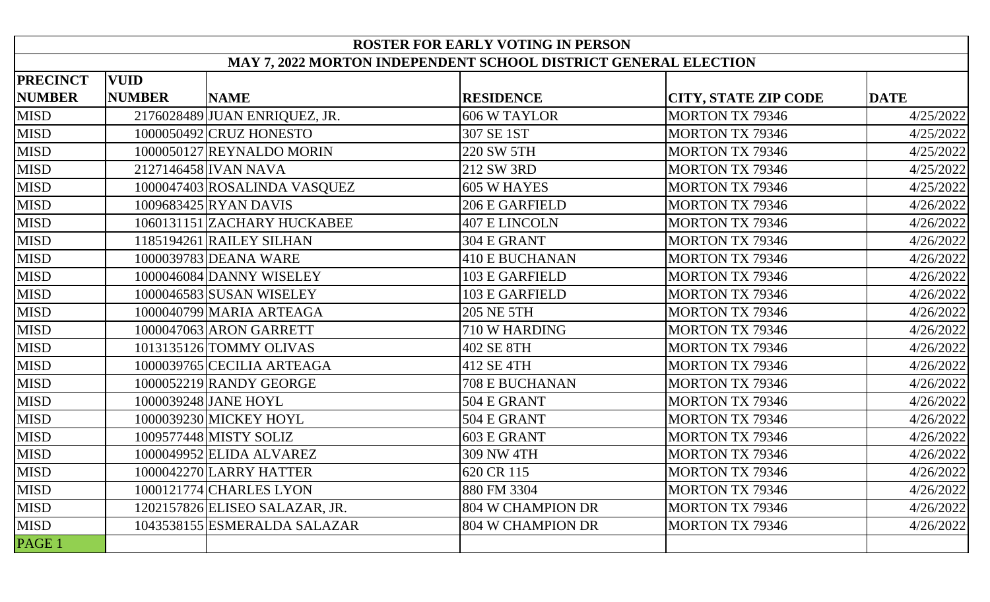| <b>ROSTER FOR EARLY VOTING IN PERSON</b>                        |               |                                |                       |                             |             |
|-----------------------------------------------------------------|---------------|--------------------------------|-----------------------|-----------------------------|-------------|
| MAY 7, 2022 MORTON INDEPENDENT SCHOOL DISTRICT GENERAL ELECTION |               |                                |                       |                             |             |
| <b>PRECINCT</b>                                                 | <b>VUID</b>   |                                |                       |                             |             |
| <b>NUMBER</b>                                                   | <b>NUMBER</b> | <b>NAME</b>                    | <b>RESIDENCE</b>      | <b>CITY, STATE ZIP CODE</b> | <b>DATE</b> |
| <b>MISD</b>                                                     |               | 2176028489 JUAN ENRIQUEZ, JR.  | <b>606 W TAYLOR</b>   | <b>MORTON TX 79346</b>      | 4/25/2022   |
| <b>MISD</b>                                                     |               | 1000050492 CRUZ HONESTO        | 307 SE 1ST            | <b>MORTON TX 79346</b>      | 4/25/2022   |
| <b>MISD</b>                                                     |               | 1000050127 REYNALDO MORIN      | 220 SW 5TH            | <b>MORTON TX 79346</b>      | 4/25/2022   |
| <b>MISD</b>                                                     |               | 2127146458 IVAN NAVA           | 212 SW 3RD            | <b>MORTON TX 79346</b>      | 4/25/2022   |
| <b>MISD</b>                                                     |               | 1000047403 ROSALINDA VASQUEZ   | 605 W HAYES           | <b>MORTON TX 79346</b>      | 4/25/2022   |
| <b>MISD</b>                                                     |               | 1009683425 RYAN DAVIS          | 206 E GARFIELD        | <b>MORTON TX 79346</b>      | 4/26/2022   |
| <b>MISD</b>                                                     |               | 1060131151 ZACHARY HUCKABEE    | <b>407 E LINCOLN</b>  | <b>MORTON TX 79346</b>      | 4/26/2022   |
| <b>MISD</b>                                                     |               | 1185194261 RAILEY SILHAN       | 304 E GRANT           | <b>MORTON TX 79346</b>      | 4/26/2022   |
| <b>MISD</b>                                                     |               | 1000039783 DEANA WARE          | <b>410 E BUCHANAN</b> | <b>MORTON TX 79346</b>      | 4/26/2022   |
| <b>MISD</b>                                                     |               | 1000046084 DANNY WISELEY       | 103 E GARFIELD        | <b>MORTON TX 79346</b>      | 4/26/2022   |
| <b>MISD</b>                                                     |               | 1000046583 SUSAN WISELEY       | 103 E GARFIELD        | <b>MORTON TX 79346</b>      | 4/26/2022   |
| <b>MISD</b>                                                     |               | 1000040799 MARIA ARTEAGA       | <b>205 NE 5TH</b>     | <b>MORTON TX 79346</b>      | 4/26/2022   |
| <b>MISD</b>                                                     |               | 1000047063 ARON GARRETT        | 710 W HARDING         | <b>MORTON TX 79346</b>      | 4/26/2022   |
| <b>MISD</b>                                                     |               | 1013135126 TOMMY OLIVAS        | 402 SE 8TH            | <b>MORTON TX 79346</b>      | 4/26/2022   |
| <b>MISD</b>                                                     |               | 1000039765 CECILIA ARTEAGA     | 412 SE 4TH            | <b>MORTON TX 79346</b>      | 4/26/2022   |
| <b>MISD</b>                                                     |               | 1000052219 RANDY GEORGE        | <b>708 E BUCHANAN</b> | <b>MORTON TX 79346</b>      | 4/26/2022   |
| <b>MISD</b>                                                     |               | 1000039248 JANE HOYL           | 504 E GRANT           | <b>MORTON TX 79346</b>      | 4/26/2022   |
| <b>MISD</b>                                                     |               | 1000039230 MICKEY HOYL         | 504 E GRANT           | <b>MORTON TX 79346</b>      | 4/26/2022   |
| <b>MISD</b>                                                     |               | 1009577448 MISTY SOLIZ         | 603 E GRANT           | <b>MORTON TX 79346</b>      | 4/26/2022   |
| <b>MISD</b>                                                     |               | 1000049952 ELIDA ALVAREZ       | 309 NW 4TH            | <b>MORTON TX 79346</b>      | 4/26/2022   |
| <b>MISD</b>                                                     |               | 1000042270 LARRY HATTER        | 620 CR 115            | <b>MORTON TX 79346</b>      | 4/26/2022   |
| <b>MISD</b>                                                     |               | 1000121774 CHARLES LYON        | 880 FM 3304           | <b>MORTON TX 79346</b>      | 4/26/2022   |
| <b>MISD</b>                                                     |               | 1202157826 ELISEO SALAZAR, JR. | 804 W CHAMPION DR     | <b>MORTON TX 79346</b>      | 4/26/2022   |
| <b>MISD</b>                                                     |               | 1043538155 ESMERALDA SALAZAR   | 804 W CHAMPION DR     | <b>MORTON TX 79346</b>      | 4/26/2022   |
| PAGE 1                                                          |               |                                |                       |                             |             |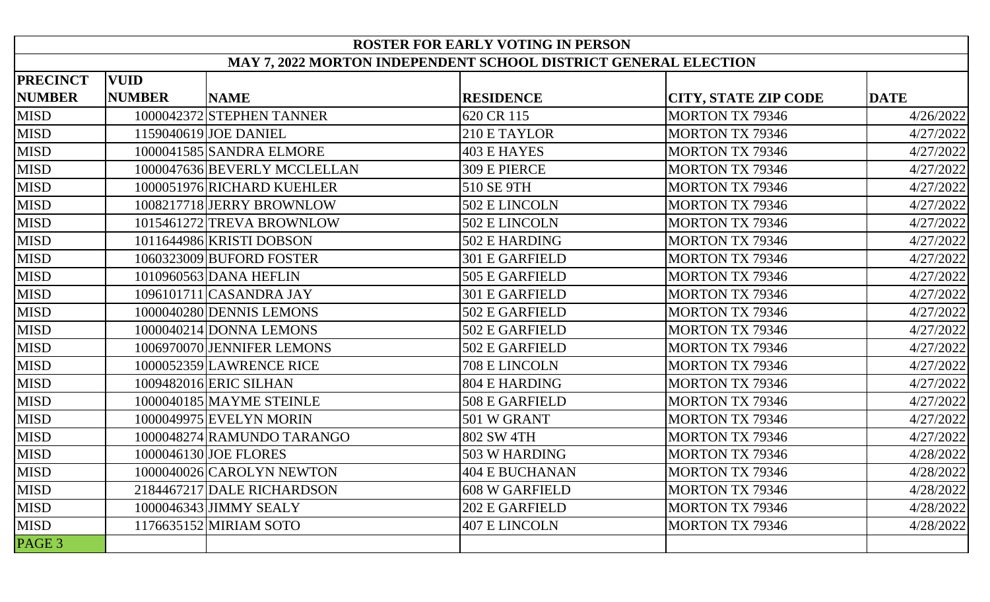| <b>ROSTER FOR EARLY VOTING IN PERSON</b>                        |               |                              |                       |                             |             |  |
|-----------------------------------------------------------------|---------------|------------------------------|-----------------------|-----------------------------|-------------|--|
| MAY 7, 2022 MORTON INDEPENDENT SCHOOL DISTRICT GENERAL ELECTION |               |                              |                       |                             |             |  |
| <b>PRECINCT</b>                                                 | <b>VUID</b>   |                              |                       |                             |             |  |
| <b>NUMBER</b>                                                   | <b>NUMBER</b> | <b>NAME</b>                  | <b>RESIDENCE</b>      | <b>CITY, STATE ZIP CODE</b> | <b>DATE</b> |  |
| <b>MISD</b>                                                     |               | 1000042372 STEPHEN TANNER    | 620 CR 115            | <b>MORTON TX 79346</b>      | 4/26/2022   |  |
| <b>MISD</b>                                                     |               | 1159040619 JOE DANIEL        | 210 E TAYLOR          | <b>MORTON TX 79346</b>      | 4/27/2022   |  |
| <b>MISD</b>                                                     |               | 1000041585 SANDRA ELMORE     | <b>403 E HAYES</b>    | <b>MORTON TX 79346</b>      | 4/27/2022   |  |
| <b>MISD</b>                                                     |               | 1000047636 BEVERLY MCCLELLAN | 309 E PIERCE          | <b>MORTON TX 79346</b>      | 4/27/2022   |  |
| <b>MISD</b>                                                     |               | 1000051976 RICHARD KUEHLER   | 510 SE 9TH            | <b>MORTON TX 79346</b>      | 4/27/2022   |  |
| <b>MISD</b>                                                     |               | 1008217718 JERRY BROWNLOW    | 502 E LINCOLN         | <b>MORTON TX 79346</b>      | 4/27/2022   |  |
| <b>MISD</b>                                                     |               | 1015461272 TREVA BROWNLOW    | 502 E LINCOLN         | <b>MORTON TX 79346</b>      | 4/27/2022   |  |
| <b>MISD</b>                                                     |               | 1011644986 KRISTI DOBSON     | 502 E HARDING         | <b>MORTON TX 79346</b>      | 4/27/2022   |  |
| <b>MISD</b>                                                     |               | 1060323009 BUFORD FOSTER     | 301 E GARFIELD        | <b>MORTON TX 79346</b>      | 4/27/2022   |  |
| <b>MISD</b>                                                     |               | 1010960563 DANA HEFLIN       | 505 E GARFIELD        | <b>MORTON TX 79346</b>      | 4/27/2022   |  |
| <b>MISD</b>                                                     |               | 1096101711 CASANDRA JAY      | 301 E GARFIELD        | <b>MORTON TX 79346</b>      | 4/27/2022   |  |
| <b>MISD</b>                                                     |               | 1000040280 DENNIS LEMONS     | 502 E GARFIELD        | <b>MORTON TX 79346</b>      | 4/27/2022   |  |
| <b>MISD</b>                                                     |               | 1000040214 DONNA LEMONS      | 502 E GARFIELD        | <b>MORTON TX 79346</b>      | 4/27/2022   |  |
| <b>MISD</b>                                                     |               | 1006970070 JENNIFER LEMONS   | 502 E GARFIELD        | <b>MORTON TX 79346</b>      | 4/27/2022   |  |
| <b>MISD</b>                                                     |               | 1000052359 LAWRENCE RICE     | 708 E LINCOLN         | <b>MORTON TX 79346</b>      | 4/27/2022   |  |
| <b>MISD</b>                                                     |               | 1009482016 ERIC SILHAN       | 804 E HARDING         | <b>MORTON TX 79346</b>      | 4/27/2022   |  |
| <b>MISD</b>                                                     |               | 1000040185 MAYME STEINLE     | 508 E GARFIELD        | <b>MORTON TX 79346</b>      | 4/27/2022   |  |
| <b>MISD</b>                                                     |               | 1000049975 EVELYN MORIN      | 501 W GRANT           | <b>MORTON TX 79346</b>      | 4/27/2022   |  |
| <b>MISD</b>                                                     |               | 1000048274 RAMUNDO TARANGO   | 802 SW 4TH            | <b>MORTON TX 79346</b>      | 4/27/2022   |  |
| <b>MISD</b>                                                     |               | 1000046130 JOE FLORES        | 503 W HARDING         | <b>MORTON TX 79346</b>      | 4/28/2022   |  |
| <b>MISD</b>                                                     |               | 1000040026 CAROLYN NEWTON    | 404 E BUCHANAN        | <b>MORTON TX 79346</b>      | 4/28/2022   |  |
| <b>MISD</b>                                                     |               | 2184467217 DALE RICHARDSON   | 608 W GARFIELD        | <b>MORTON TX 79346</b>      | 4/28/2022   |  |
| <b>MISD</b>                                                     |               | 1000046343 JIMMY SEALY       | <b>202 E GARFIELD</b> | <b>MORTON TX 79346</b>      | 4/28/2022   |  |
| <b>MISD</b>                                                     |               | 1176635152 MIRIAM SOTO       | 407 E LINCOLN         | <b>MORTON TX 79346</b>      | 4/28/2022   |  |
| PAGE 3                                                          |               |                              |                       |                             |             |  |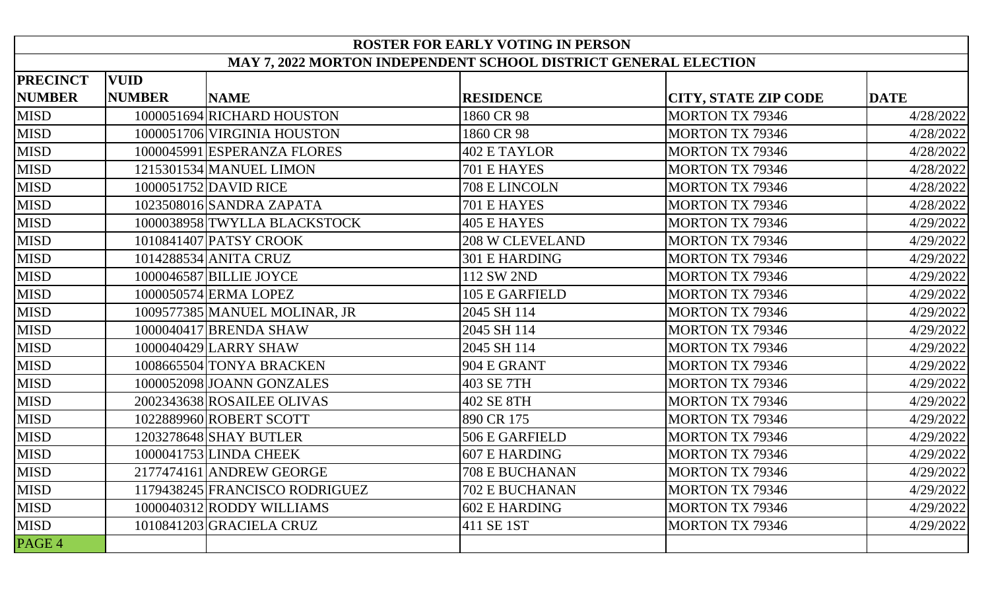| <b>ROSTER FOR EARLY VOTING IN PERSON</b>                        |               |                                |                        |                             |             |
|-----------------------------------------------------------------|---------------|--------------------------------|------------------------|-----------------------------|-------------|
| MAY 7, 2022 MORTON INDEPENDENT SCHOOL DISTRICT GENERAL ELECTION |               |                                |                        |                             |             |
| <b>PRECINCT</b>                                                 | <b>VUID</b>   |                                |                        |                             |             |
| <b>NUMBER</b>                                                   | <b>NUMBER</b> | <b>NAME</b>                    | <b>RESIDENCE</b>       | <b>CITY, STATE ZIP CODE</b> | <b>DATE</b> |
| <b>MISD</b>                                                     |               | 1000051694 RICHARD HOUSTON     | 1860 CR 98             | <b>MORTON TX 79346</b>      | 4/28/2022   |
| <b>MISD</b>                                                     |               | 1000051706 VIRGINIA HOUSTON    | 1860 CR 98             | <b>MORTON TX 79346</b>      | 4/28/2022   |
| <b>MISD</b>                                                     |               | 1000045991 ESPERANZA FLORES    | <b>402 E TAYLOR</b>    | <b>MORTON TX 79346</b>      | 4/28/2022   |
| <b>MISD</b>                                                     |               | 1215301534 MANUEL LIMON        | 701 E HAYES            | <b>MORTON TX 79346</b>      | 4/28/2022   |
| <b>MISD</b>                                                     |               | 1000051752 DAVID RICE          | 708 E LINCOLN          | <b>MORTON TX 79346</b>      | 4/28/2022   |
| <b>MISD</b>                                                     |               | 1023508016 SANDRA ZAPATA       | 701 E HAYES            | <b>MORTON TX 79346</b>      | 4/28/2022   |
| <b>MISD</b>                                                     |               | 1000038958 TWYLLA BLACKSTOCK   | <b>405 E HAYES</b>     | <b>MORTON TX 79346</b>      | 4/29/2022   |
| <b>MISD</b>                                                     |               | 1010841407 PATSY CROOK         | <b>208 W CLEVELAND</b> | <b>MORTON TX 79346</b>      | 4/29/2022   |
| <b>MISD</b>                                                     |               | 1014288534 ANITA CRUZ          | 301 E HARDING          | <b>MORTON TX 79346</b>      | 4/29/2022   |
| <b>MISD</b>                                                     |               | 1000046587 BILLIE JOYCE        | 112 SW 2ND             | <b>MORTON TX 79346</b>      | 4/29/2022   |
| <b>MISD</b>                                                     |               | 1000050574 ERMA LOPEZ          | 105 E GARFIELD         | <b>MORTON TX 79346</b>      | 4/29/2022   |
| <b>MISD</b>                                                     |               | 1009577385 MANUEL MOLINAR, JR  | 2045 SH 114            | <b>MORTON TX 79346</b>      | 4/29/2022   |
| <b>MISD</b>                                                     |               | 1000040417 BRENDA SHAW         | 2045 SH 114            | <b>MORTON TX 79346</b>      | 4/29/2022   |
| <b>MISD</b>                                                     |               | 1000040429 LARRY SHAW          | 2045 SH 114            | <b>MORTON TX 79346</b>      | 4/29/2022   |
| <b>MISD</b>                                                     |               | 1008665504 TONYA BRACKEN       | 904 E GRANT            | <b>MORTON TX 79346</b>      | 4/29/2022   |
| <b>MISD</b>                                                     |               | 1000052098 JOANN GONZALES      | 403 SE 7TH             | <b>MORTON TX 79346</b>      | 4/29/2022   |
| <b>MISD</b>                                                     |               | 2002343638 ROSAILEE OLIVAS     | 402 SE 8TH             | <b>MORTON TX 79346</b>      | 4/29/2022   |
| <b>MISD</b>                                                     |               | 1022889960 ROBERT SCOTT        | 890 CR 175             | <b>MORTON TX 79346</b>      | 4/29/2022   |
| <b>MISD</b>                                                     |               | 1203278648 SHAY BUTLER         | 506 E GARFIELD         | <b>MORTON TX 79346</b>      | 4/29/2022   |
| <b>MISD</b>                                                     |               | 1000041753 LINDA CHEEK         | 607 E HARDING          | <b>MORTON TX 79346</b>      | 4/29/2022   |
| <b>MISD</b>                                                     |               | 2177474161 ANDREW GEORGE       | 708 E BUCHANAN         | MORTON TX 79346             | 4/29/2022   |
| <b>MISD</b>                                                     |               | 1179438245 FRANCISCO RODRIGUEZ | <b>702 E BUCHANAN</b>  | <b>MORTON TX 79346</b>      | 4/29/2022   |
| MISD                                                            |               | 1000040312 RODDY WILLIAMS      | 602 E HARDING          | <b>MORTON TX 79346</b>      | 4/29/2022   |
| <b>MISD</b>                                                     |               | 1010841203 GRACIELA CRUZ       | 411 SE 1ST             | <b>MORTON TX 79346</b>      | 4/29/2022   |
| PAGE 4                                                          |               |                                |                        |                             |             |